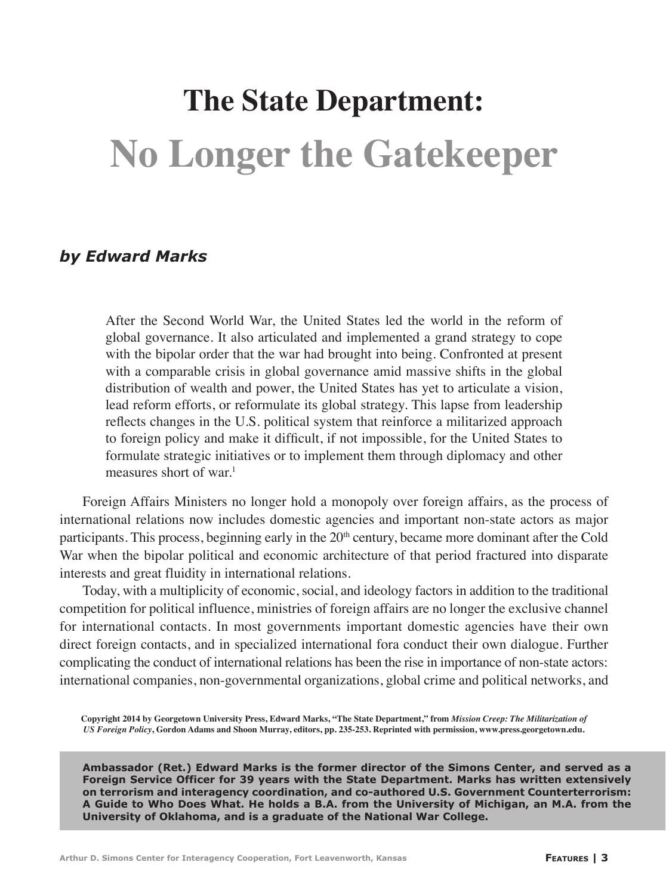# **The State Department: No Longer the Gatekeeper**

# *by Edward Marks*

After the Second World War, the United States led the world in the reform of global governance. It also articulated and implemented a grand strategy to cope with the bipolar order that the war had brought into being. Confronted at present with a comparable crisis in global governance amid massive shifts in the global distribution of wealth and power, the United States has yet to articulate a vision, lead reform efforts, or reformulate its global strategy. This lapse from leadership reflects changes in the U.S. political system that reinforce a militarized approach to foreign policy and make it difficult, if not impossible, for the United States to formulate strategic initiatives or to implement them through diplomacy and other measures short of war.<sup>1</sup>

Foreign Affairs Ministers no longer hold a monopoly over foreign affairs, as the process of international relations now includes domestic agencies and important non-state actors as major participants. This process, beginning early in the  $20<sup>th</sup>$  century, became more dominant after the Cold War when the bipolar political and economic architecture of that period fractured into disparate interests and great fluidity in international relations.

Today, with a multiplicity of economic, social, and ideology factors in addition to the traditional competition for political influence, ministries of foreign affairs are no longer the exclusive channel for international contacts. In most governments important domestic agencies have their own direct foreign contacts, and in specialized international fora conduct their own dialogue. Further complicating the conduct of international relations has been the rise in importance of non-state actors: international companies, non-governmental organizations, global crime and political networks, and

**Copyright 2014 by Georgetown University Press, Edward Marks, "The State Department," from** *Mission Creep: The Militarization of US Foreign Policy***, Gordon Adams and Shoon Murray, editors, pp. 235-253. Reprinted with permission, www.press.georgetown.edu.**

**Ambassador (Ret.) Edward Marks is the former director of the Simons Center, and served as a Foreign Service Officer for 39 years with the State Department. Marks has written extensively on terrorism and interagency coordination, and co-authored U.S. Government Counterterrorism: A Guide to Who Does What. He holds a B.A. from the University of Michigan, an M.A. from the University of Oklahoma, and is a graduate of the National War College.**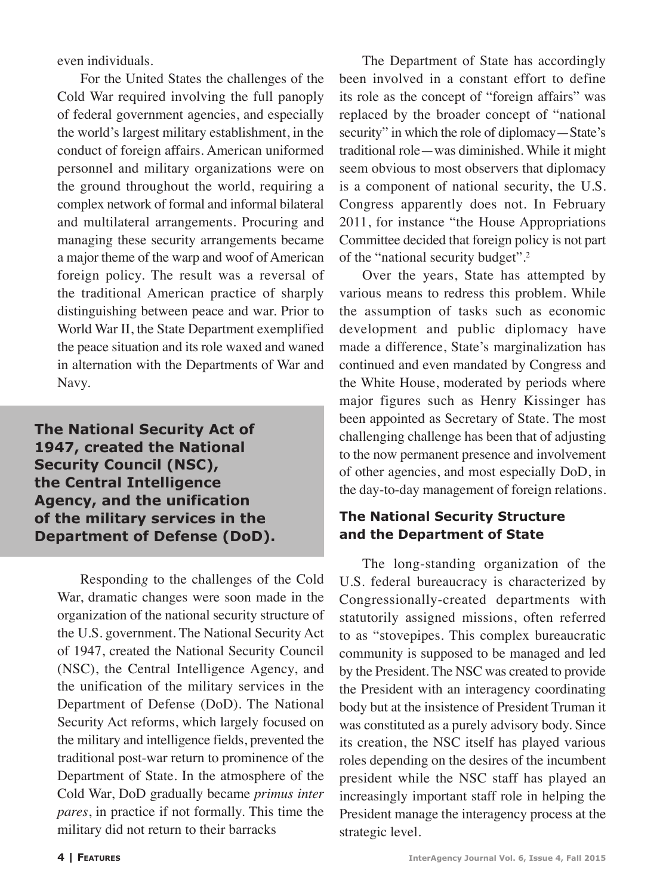even individuals.

For the United States the challenges of the Cold War required involving the full panoply of federal government agencies, and especially the world's largest military establishment, in the conduct of foreign affairs. American uniformed personnel and military organizations were on the ground throughout the world, requiring a complex network of formal and informal bilateral and multilateral arrangements. Procuring and managing these security arrangements became a major theme of the warp and woof of American foreign policy. The result was a reversal of the traditional American practice of sharply distinguishing between peace and war. Prior to World War II, the State Department exemplified the peace situation and its role waxed and waned in alternation with the Departments of War and Navy.

**The National Security Act of 1947, created the National Security Council (NSC), the Central Intelligence Agency, and the unification of the military services in the Department of Defense (DoD).**

Respondin*g* to the challenges of the Cold War, dramatic changes were soon made in the organization of the national security structure of the U.S. government. The National Security Act of 1947, created the National Security Council (NSC), the Central Intelligence Agency, and the unification of the military services in the Department of Defense (DoD). The National Security Act reforms, which largely focused on the military and intelligence fields, prevented the traditional post-war return to prominence of the Department of State. In the atmosphere of the Cold War, DoD gradually became *primus inter pares*, in practice if not formally. This time the military did not return to their barracks

The Department of State has accordingly been involved in a constant effort to define its role as the concept of "foreign affairs" was replaced by the broader concept of "national security" in which the role of diplomacy—State's traditional role—was diminished. While it might seem obvious to most observers that diplomacy is a component of national security, the U.S. Congress apparently does not. In February 2011, for instance "the House Appropriations Committee decided that foreign policy is not part of the "national security budget".2

Over the years, State has attempted by various means to redress this problem*.* While the assumption of tasks such as economic development and public diplomacy have made a difference, State's marginalization has continued and even mandated by Congress and the White House, moderated by periods where major figures such as Henry Kissinger has been appointed as Secretary of State. The most challenging challenge has been that of adjusting to the now permanent presence and involvement of other agencies, and most especially DoD, in the day-to-day management of foreign relations.

### **The National Security Structure and the Department of State**

The long-standing organization of the U.S. federal bureaucracy is characterized by Congressionally-created departments with statutorily assigned missions, often referred to as "stovepipes*.* This complex bureaucratic community is supposed to be managed and led by the President. The NSC was created to provide the President with an interagency coordinating body but at the insistence of President Truman it was constituted as a purely advisory body. Since its creation, the NSC itself has played various roles depending on the desires of the incumbent president while the NSC staff has played an increasingly important staff role in helping the President manage the interagency process at the strategic level.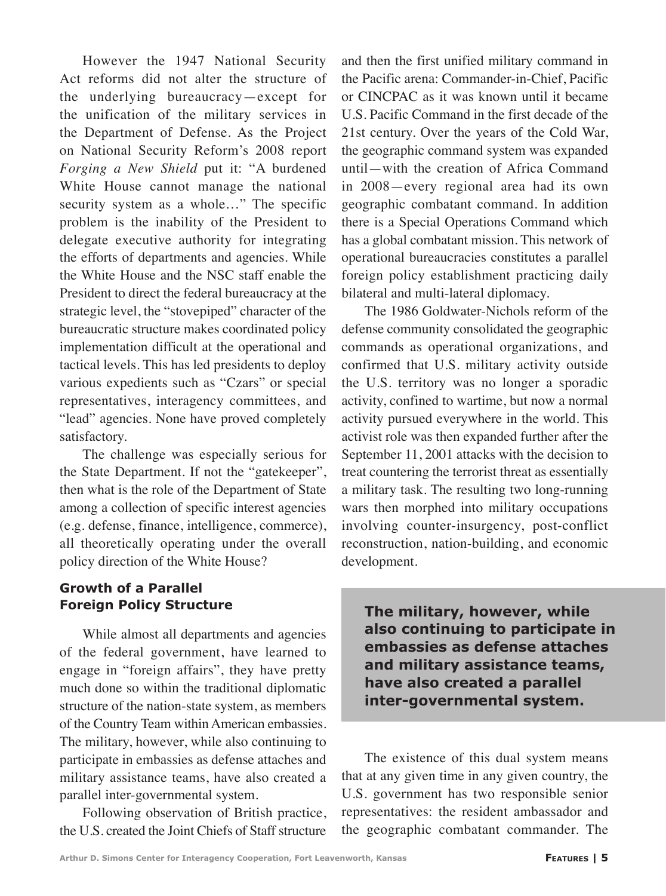However the 1947 National Security Act reforms did not alter the structure of the underlying bureaucracy—except for the unification of the military services in the Department of Defense. As the Project on National Security Reform's 2008 report *Forging a New Shield* put it: "A burdened White House cannot manage the national security system as a whole…" The specific problem is the inability of the President to delegate executive authority for integrating the efforts of departments and agencies. While the White House and the NSC staff enable the President to direct the federal bureaucracy at the strategic level, the "stovepiped" character of the bureaucratic structure makes coordinated policy implementation difficult at the operational and tactical levels. This has led presidents to deploy various expedients such as "Czars" or special representatives, interagency committees, and "lead" agencies. None have proved completely satisfactory.

The challenge was especially serious for the State Department. If not the "gatekeeper", then what is the role of the Department of State among a collection of specific interest agencies (e.g. defense, finance, intelligence, commerce), all theoretically operating under the overall policy direction of the White House?

### **Growth of a Parallel Foreign Policy Structure**

While almost all departments and agencies of the federal government, have learned to engage in "foreign affairs", they have pretty much done so within the traditional diplomatic structure of the nation-state system, as members of the Country Team within American embassies. The military, however, while also continuing to participate in embassies as defense attaches and military assistance teams, have also created a parallel inter-governmental system.

Following observation of British practice, the U.S. created the Joint Chiefs of Staff structure

and then the first unified military command in the Pacific arena: Commander-in-Chief, Pacific or CINCPAC as it was known until it became U.S. Pacific Command in the first decade of the 21st century. Over the years of the Cold War, the geographic command system was expanded until—with the creation of Africa Command in 2008—every regional area had its own geographic combatant command. In addition there is a Special Operations Command which has a global combatant mission. This network of operational bureaucracies constitutes a parallel foreign policy establishment practicing daily bilateral and multi-lateral diplomacy.

The 1986 Goldwater-Nichols reform of the defense community consolidated the geographic commands as operational organizations, and confirmed that U.S. military activity outside the U.S. territory was no longer a sporadic activity, confined to wartime, but now a normal activity pursued everywhere in the world. This activist role was then expanded further after the September 11, 2001 attacks with the decision to treat countering the terrorist threat as essentially a military task. The resulting two long-running wars then morphed into military occupations involving counter-insurgency, post-conflict reconstruction, nation-building, and economic development.

**The military, however, while also continuing to participate in embassies as defense attaches and military assistance teams, have also created a parallel inter-governmental system.**

The existence of this dual system means that at any given time in any given country, the U.S. government has two responsible senior representatives: the resident ambassador and the geographic combatant commander. The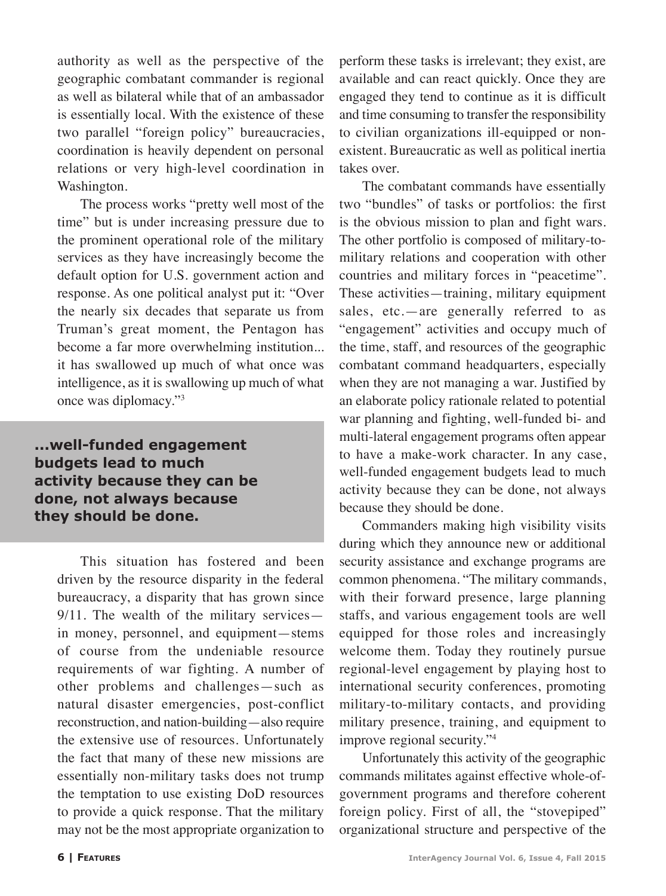authority as well as the perspective of the geographic combatant commander is regional as well as bilateral while that of an ambassador is essentially local. With the existence of these two parallel "foreign policy" bureaucracies, coordination is heavily dependent on personal relations or very high-level coordination in Washington.

The process works "pretty well most of the time" but is under increasing pressure due to the prominent operational role of the military services as they have increasingly become the default option for U.S. government action and response. As one political analyst put it: "Over the nearly six decades that separate us from Truman's great moment, the Pentagon has become a far more overwhelming institution... it has swallowed up much of what once was intelligence, as it is swallowing up much of what once was diplomacy."3

**...well-funded engagement budgets lead to much activity because they can be done, not always because they should be done.**

This situation has fostered and been driven by the resource disparity in the federal bureaucracy, a disparity that has grown since 9/11. The wealth of the military services in money, personnel, and equipment—stems of course from the undeniable resource requirements of war fighting. A number of other problems and challenges—such as natural disaster emergencies, post-conflict reconstruction, and nation-building—also require the extensive use of resources. Unfortunately the fact that many of these new missions are essentially non-military tasks does not trump the temptation to use existing DoD resources to provide a quick response. That the military may not be the most appropriate organization to

perform these tasks is irrelevant; they exist, are available and can react quickly. Once they are engaged they tend to continue as it is difficult and time consuming to transfer the responsibility to civilian organizations ill-equipped or nonexistent. Bureaucratic as well as political inertia takes over.

The combatant commands have essentially two "bundles" of tasks or portfolios: the first is the obvious mission to plan and fight wars. The other portfolio is composed of military-tomilitary relations and cooperation with other countries and military forces in "peacetime". These activities—training, military equipment sales, etc.—are generally referred to as "engagement" activities and occupy much of the time, staff, and resources of the geographic combatant command headquarters, especially when they are not managing a war. Justified by an elaborate policy rationale related to potential war planning and fighting, well-funded bi- and multi-lateral engagement programs often appear to have a make-work character. In any case, well-funded engagement budgets lead to much activity because they can be done, not always because they should be done.

Commanders making high visibility visits during which they announce new or additional security assistance and exchange programs are common phenomena. "The military commands, with their forward presence, large planning staffs, and various engagement tools are well equipped for those roles and increasingly welcome them. Today they routinely pursue regional-level engagement by playing host to international security conferences, promoting military-to-military contacts, and providing military presence, training, and equipment to improve regional security."4

Unfortunately this activity of the geographic commands militates against effective whole-ofgovernment programs and therefore coherent foreign policy. First of all, the "stovepiped" organizational structure and perspective of the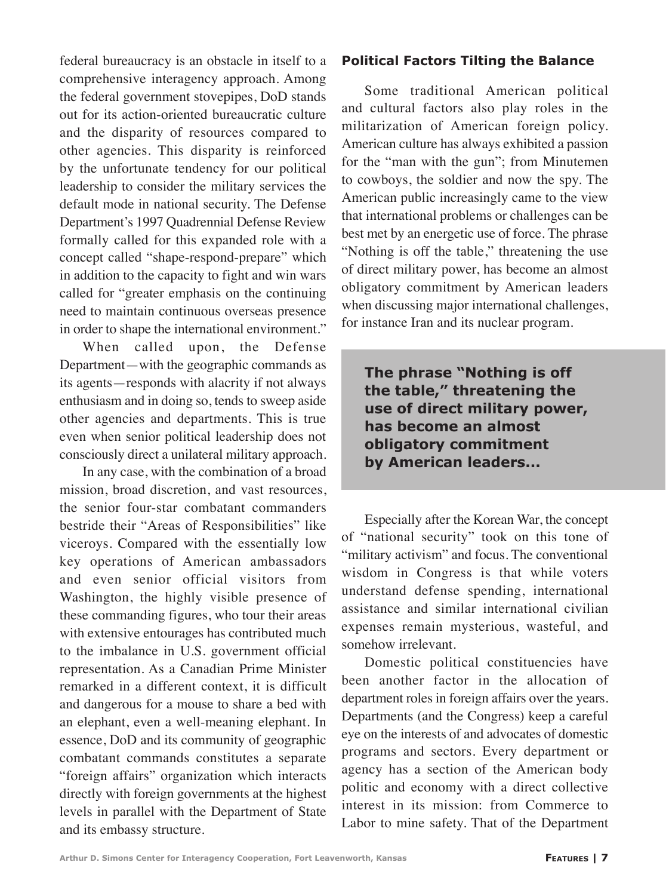federal bureaucracy is an obstacle in itself to a comprehensive interagency approach. Among the federal government stovepipes, DoD stands out for its action-oriented bureaucratic culture and the disparity of resources compared to other agencies. This disparity is reinforced by the unfortunate tendency for our political leadership to consider the military services the default mode in national security. The Defense Department's 1997 Quadrennial Defense Review formally called for this expanded role with a concept called "shape-respond-prepare" which in addition to the capacity to fight and win wars called for "greater emphasis on the continuing need to maintain continuous overseas presence in order to shape the international environment."

When called upon, the Defense Department—with the geographic commands as its agents—responds with alacrity if not always enthusiasm and in doing so, tends to sweep aside other agencies and departments. This is true even when senior political leadership does not consciously direct a unilateral military approach.

In any case, with the combination of a broad mission, broad discretion, and vast resources, the senior four-star combatant commanders bestride their "Areas of Responsibilities" like viceroys. Compared with the essentially low key operations of American ambassadors and even senior official visitors from Washington, the highly visible presence of these commanding figures, who tour their areas with extensive entourages has contributed much to the imbalance in U.S. government official representation. As a Canadian Prime Minister remarked in a different context, it is difficult and dangerous for a mouse to share a bed with an elephant, even a well-meaning elephant. In essence, DoD and its community of geographic combatant commands constitutes a separate "foreign affairs" organization which interacts directly with foreign governments at the highest levels in parallel with the Department of State and its embassy structure.

#### **Political Factors Tilting the Balance**

Some traditional American political and cultural factors also play roles in the militarization of American foreign policy. American culture has always exhibited a passion for the "man with the gun"; from Minutemen to cowboys, the soldier and now the spy. The American public increasingly came to the view that international problems or challenges can be best met by an energetic use of force. The phrase "Nothing is off the table," threatening the use of direct military power, has become an almost obligatory commitment by American leaders when discussing major international challenges, for instance Iran and its nuclear program.

**The phrase "Nothing is off the table," threatening the use of direct military power, has become an almost obligatory commitment by American leaders...**

Especially after the Korean War, the concept of "national security" took on this tone of "military activism" and focus. The conventional wisdom in Congress is that while voters understand defense spending, international assistance and similar international civilian expenses remain mysterious, wasteful, and somehow irrelevant.

Domestic political constituencies have been another factor in the allocation of department roles in foreign affairs over the years. Departments (and the Congress) keep a careful eye on the interests of and advocates of domestic programs and sectors. Every department or agency has a section of the American body politic and economy with a direct collective interest in its mission: from Commerce to Labor to mine safety. That of the Department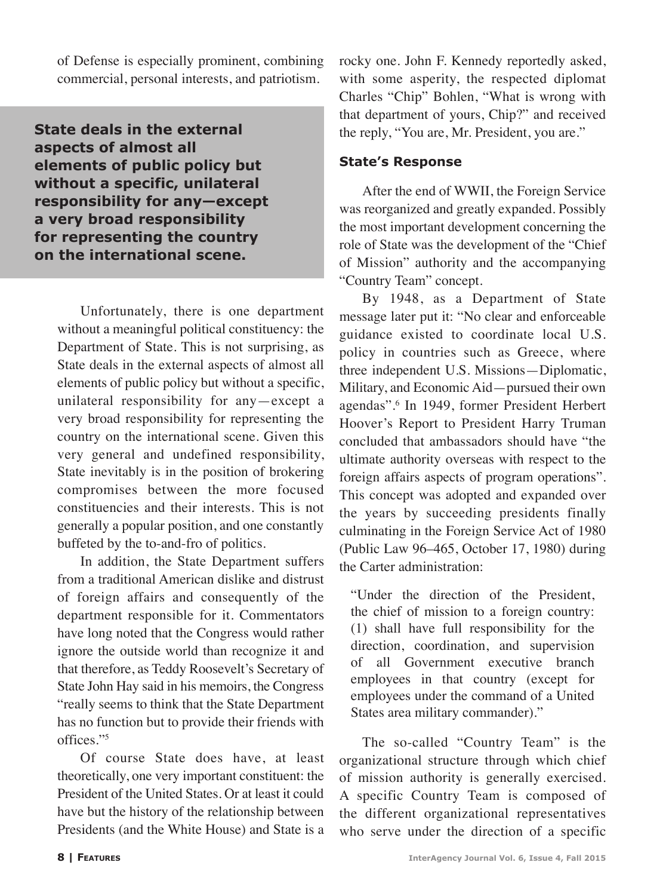of Defense is especially prominent, combining commercial, personal interests, and patriotism.

**State deals in the external aspects of almost all elements of public policy but without a specific, unilateral responsibility for any—except a very broad responsibility for representing the country on the international scene.**

Unfortunately, there is one department without a meaningful political constituency: the Department of State. This is not surprising, as State deals in the external aspects of almost all elements of public policy but without a specific, unilateral responsibility for any—except a very broad responsibility for representing the country on the international scene. Given this very general and undefined responsibility, State inevitably is in the position of brokering compromises between the more focused constituencies and their interests. This is not generally a popular position, and one constantly buffeted by the to-and-fro of politics.

In addition, the State Department suffers from a traditional American dislike and distrust of foreign affairs and consequently of the department responsible for it. Commentators have long noted that the Congress would rather ignore the outside world than recognize it and that therefore, as Teddy Roosevelt's Secretary of State John Hay said in his memoirs, the Congress "really seems to think that the State Department has no function but to provide their friends with offices."5

Of course State does have, at least theoretically, one very important constituent: the President of the United States. Or at least it could have but the history of the relationship between Presidents (and the White House) and State is a

rocky one. John F. Kennedy reportedly asked, with some asperity, the respected diplomat Charles "Chip" Bohlen, "What is wrong with that department of yours, Chip?" and received the reply, "You are, Mr. President, you are."

#### **State's Response**

After the end of WWII, the Foreign Service was reorganized and greatly expanded. Possibly the most important development concerning the role of State was the development of the "Chief of Mission" authority and the accompanying "Country Team" concept.

By 1948, as a Department of State message later put it: "No clear and enforceable guidance existed to coordinate local U.S. policy in countries such as Greece, where three independent U.S. Missions—Diplomatic, Military, and Economic Aid—pursued their own agendas".6 In 1949, former President Herbert Hoover's Report to President Harry Truman concluded that ambassadors should have "the ultimate authority overseas with respect to the foreign affairs aspects of program operations". This concept was adopted and expanded over the years by succeeding presidents finally culminating in the Foreign Service Act of 1980 (Public Law 96–465, October 17, 1980) during the Carter administration:

"Under the direction of the President, the chief of mission to a foreign country: (1) shall have full responsibility for the direction, coordination, and supervision of all Government executive branch employees in that country (except for employees under the command of a United States area military commander)."

The so-called "Country Team" is the organizational structure through which chief of mission authority is generally exercised. A specific Country Team is composed of the different organizational representatives who serve under the direction of a specific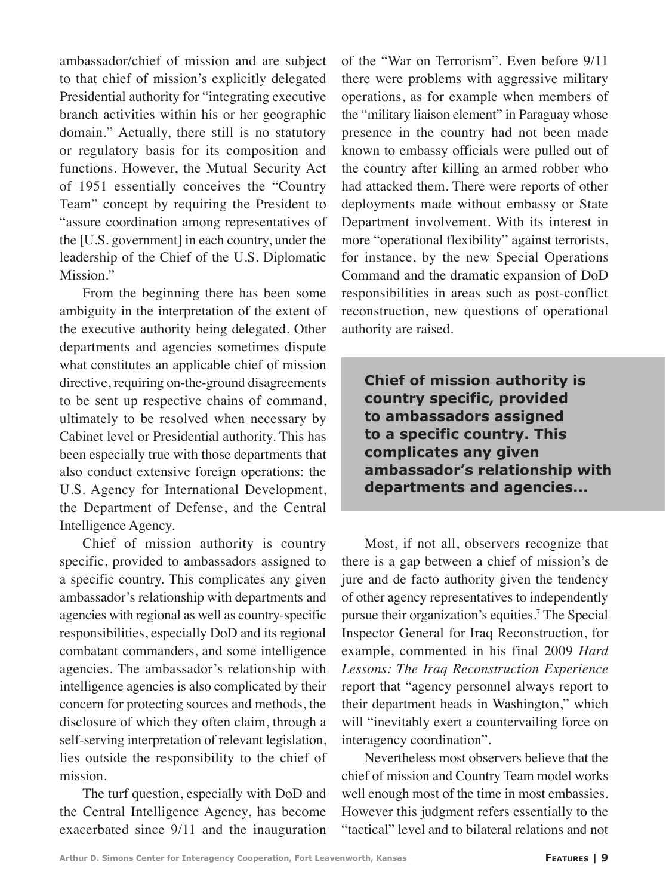ambassador/chief of mission and are subject to that chief of mission's explicitly delegated Presidential authority for "integrating executive branch activities within his or her geographic domain." Actually, there still is no statutory or regulatory basis for its composition and functions. However, the Mutual Security Act of 1951 essentially conceives the "Country Team" concept by requiring the President to "assure coordination among representatives of the [U.S. government] in each country, under the leadership of the Chief of the U.S. Diplomatic Mission."

From the beginning there has been some ambiguity in the interpretation of the extent of the executive authority being delegated. Other departments and agencies sometimes dispute what constitutes an applicable chief of mission directive, requiring on-the-ground disagreements to be sent up respective chains of command, ultimately to be resolved when necessary by Cabinet level or Presidential authority. This has been especially true with those departments that also conduct extensive foreign operations: the U.S. Agency for International Development, the Department of Defense, and the Central Intelligence Agency.

Chief of mission authority is country specific, provided to ambassadors assigned to a specific country. This complicates any given ambassador's relationship with departments and agencies with regional as well as country-specific responsibilities, especially DoD and its regional combatant commanders, and some intelligence agencies. The ambassador's relationship with intelligence agencies is also complicated by their concern for protecting sources and methods, the disclosure of which they often claim, through a self-serving interpretation of relevant legislation, lies outside the responsibility to the chief of mission.

The turf question, especially with DoD and the Central Intelligence Agency, has become exacerbated since 9/11 and the inauguration of the "War on Terrorism". Even before 9/11 there were problems with aggressive military operations, as for example when members of the "military liaison element" in Paraguay whose presence in the country had not been made known to embassy officials were pulled out of the country after killing an armed robber who had attacked them. There were reports of other deployments made without embassy or State Department involvement. With its interest in more "operational flexibility" against terrorists, for instance, by the new Special Operations Command and the dramatic expansion of DoD responsibilities in areas such as post-conflict reconstruction, new questions of operational authority are raised.

**Chief of mission authority is country specific, provided to ambassadors assigned to a specific country. This complicates any given ambassador's relationship with departments and agencies...**

Most, if not all, observers recognize that there is a gap between a chief of mission's de jure and de facto authority given the tendency of other agency representatives to independently pursue their organization's equities.7 The Special Inspector General for Iraq Reconstruction, for example, commented in his final 2009 *Hard Lessons: The Iraq Reconstruction Experience*  report that "agency personnel always report to their department heads in Washington," which will "inevitably exert a countervailing force on interagency coordination".

Nevertheless most observers believe that the chief of mission and Country Team model works well enough most of the time in most embassies. However this judgment refers essentially to the "tactical" level and to bilateral relations and not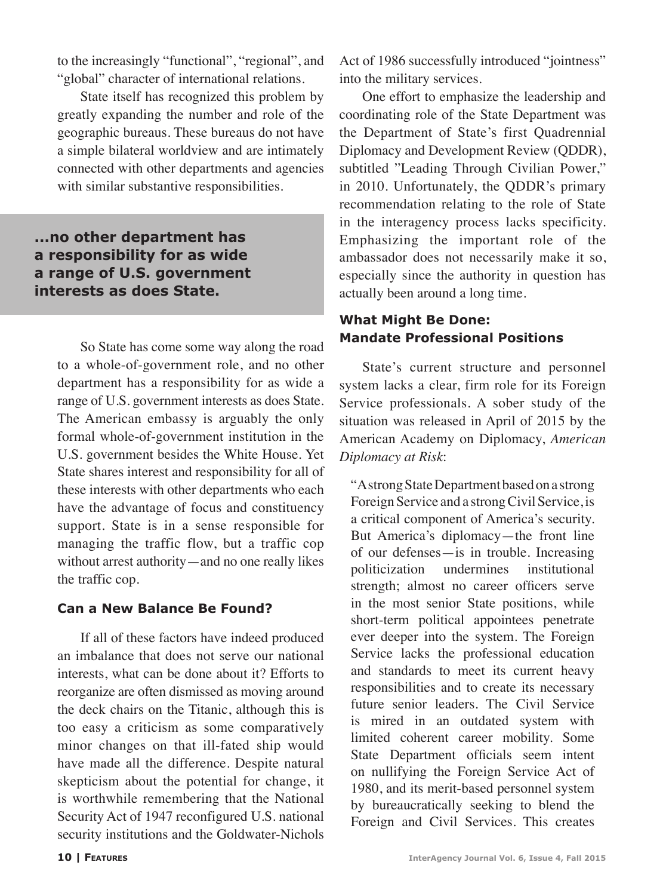to the increasingly "functional", "regional", and "global" character of international relations.

State itself has recognized this problem by greatly expanding the number and role of the geographic bureaus. These bureaus do not have a simple bilateral worldview and are intimately connected with other departments and agencies with similar substantive responsibilities.

# **...no other department has a responsibility for as wide a range of U.S. government interests as does State.**

So State has come some way along the road to a whole-of-government role, and no other department has a responsibility for as wide a range of U.S. government interests as does State. The American embassy is arguably the only formal whole-of-government institution in the U.S. government besides the White House. Yet State shares interest and responsibility for all of these interests with other departments who each have the advantage of focus and constituency support. State is in a sense responsible for managing the traffic flow, but a traffic cop without arrest authority—and no one really likes the traffic cop.

### **Can a New Balance Be Found?**

If all of these factors have indeed produced an imbalance that does not serve our national interests, what can be done about it? Efforts to reorganize are often dismissed as moving around the deck chairs on the Titanic, although this is too easy a criticism as some comparatively minor changes on that ill-fated ship would have made all the difference. Despite natural skepticism about the potential for change, it is worthwhile remembering that the National Security Act of 1947 reconfigured U.S. national security institutions and the Goldwater-Nichols Act of 1986 successfully introduced "jointness" into the military services.

One effort to emphasize the leadership and coordinating role of the State Department was the Department of State's first Quadrennial Diplomacy and Development Review (QDDR), subtitled "Leading Through Civilian Power," in 2010. Unfortunately, the QDDR's primary recommendation relating to the role of State in the interagency process lacks specificity. Emphasizing the important role of the ambassador does not necessarily make it so, especially since the authority in question has actually been around a long time.

# **What Might Be Done: Mandate Professional Positions**

State's current structure and personnel system lacks a clear, firm role for its Foreign Service professionals. A sober study of the situation was released in April of 2015 by the American Academy on Diplomacy, *American Diplomacy at Risk*:

"A strong State Department based on a strong Foreign Service and a strong Civil Service, is a critical component of America's security. But America's diplomacy—the front line of our defenses—is in trouble. Increasing politicization undermines institutional strength; almost no career officers serve in the most senior State positions, while short-term political appointees penetrate ever deeper into the system. The Foreign Service lacks the professional education and standards to meet its current heavy responsibilities and to create its necessary future senior leaders. The Civil Service is mired in an outdated system with limited coherent career mobility. Some State Department officials seem intent on nullifying the Foreign Service Act of 1980, and its merit-based personnel system by bureaucratically seeking to blend the Foreign and Civil Services. This creates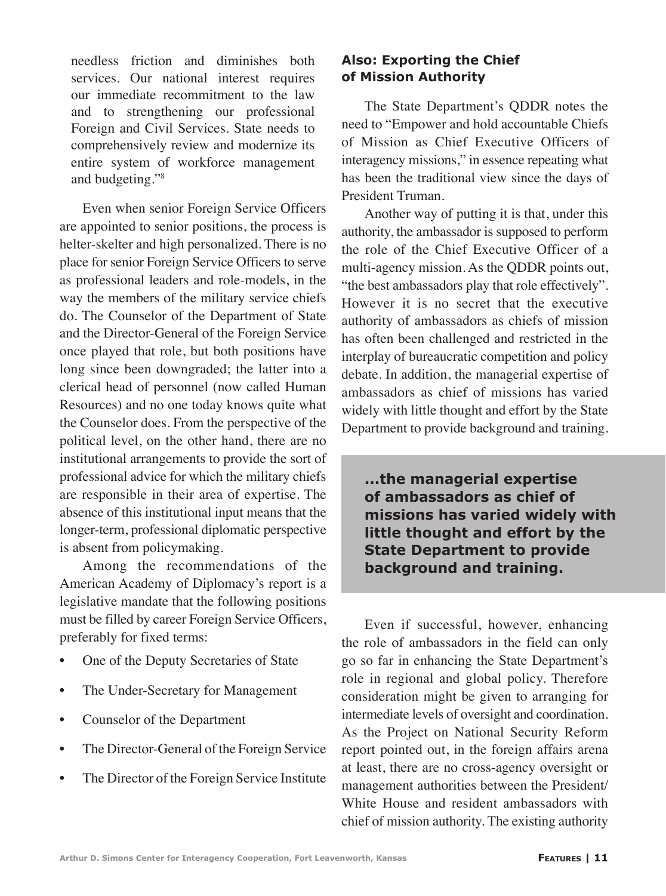needless friction and diminishes both services. Our national interest requires our immediate recommitment to the law and to strengthening our professional Foreign and Civil Services. State needs to comprehensively review and modernize its entire system of workforce management and budgeting."8

Even when senior Foreign Service Officers are appointed to senior positions, the process is helter-skelter and high personalized. There is no place for senior Foreign Service Officers to serve as professional leaders and role-models, in the way the members of the military service chiefs do. The Counselor of the Department of State and the Director-General of the Foreign Service once played that role, but both positions have long since been downgraded; the latter into a clerical head of personnel (now called Human Resources) and no one today knows quite what the Counselor does. From the perspective of the political level, on the other hand, there are no institutional arrangements to provide the sort of professional advice for which the military chiefs are responsible in their area of expertise. The absence of this institutional input means that the longer-term, professional diplomatic perspective is absent from policymaking.

Among the recommendations of the American Academy of Diplomacy's report is a legislative mandate that the following positions must be filled by career Foreign Service Officers, preferably for fixed terms:

- One of the Deputy Secretaries of State
- The Under-Secretary for Management
- Counselor of the Department
- The Director-General of the Foreign Service
- The Director of the Foreign Service Institute

## **Also: Exporting the Chief of Mission Authority**

The State Department's QDDR notes the need to "Empower and hold accountable Chiefs of Mission as Chief Executive Officers of interagency missions," in essence repeating what has been the traditional view since the days of President Truman.

Another way of putting it is that, under this authority, the ambassador is supposed to perform the role of the Chief Executive Officer of a multi-agency mission. As the QDDR points out, "the best ambassadors play that role effectively". However it is no secret that the executive authority of ambassadors as chiefs of mission has often been challenged and restricted in the interplay of bureaucratic competition and policy debate. In addition, the managerial expertise of ambassadors as chief of missions has varied widely with little thought and effort by the State Department to provide background and training.

**...the managerial expertise of ambassadors as chief of missions has varied widely with little thought and effort by the State Department to provide background and training.**

Even if successful, however, enhancing the role of ambassadors in the field can only go so far in enhancing the State Department's role in regional and global policy. Therefore consideration might be given to arranging for intermediate levels of oversight and coordination. As the Project on National Security Reform report pointed out, in the foreign affairs arena at least, there are no cross-agency oversight or management authorities between the President/ White House and resident ambassadors with chief of mission authority. The existing authority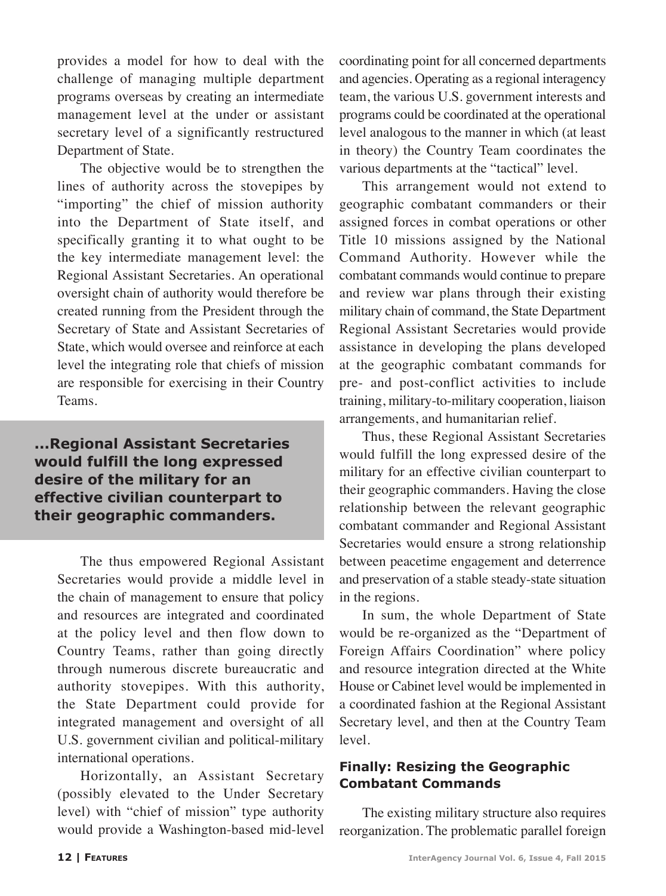provides a model for how to deal with the challenge of managing multiple department programs overseas by creating an intermediate management level at the under or assistant secretary level of a significantly restructured Department of State.

The objective would be to strengthen the lines of authority across the stovepipes by "importing" the chief of mission authority into the Department of State itself, and specifically granting it to what ought to be the key intermediate management level: the Regional Assistant Secretaries. An operational oversight chain of authority would therefore be created running from the President through the Secretary of State and Assistant Secretaries of State, which would oversee and reinforce at each level the integrating role that chiefs of mission are responsible for exercising in their Country Teams.

**...Regional Assistant Secretaries would fulfill the long expressed desire of the military for an effective civilian counterpart to their geographic commanders.**

The thus empowered Regional Assistant Secretaries would provide a middle level in the chain of management to ensure that policy and resources are integrated and coordinated at the policy level and then flow down to Country Teams, rather than going directly through numerous discrete bureaucratic and authority stovepipes. With this authority, the State Department could provide for integrated management and oversight of all U.S. government civilian and political-military international operations.

Horizontally, an Assistant Secretary (possibly elevated to the Under Secretary level) with "chief of mission" type authority would provide a Washington-based mid-level

coordinating point for all concerned departments and agencies. Operating as a regional interagency team, the various U.S. government interests and programs could be coordinated at the operational level analogous to the manner in which (at least in theory) the Country Team coordinates the various departments at the "tactical" level.

This arrangement would not extend to geographic combatant commanders or their assigned forces in combat operations or other Title 10 missions assigned by the National Command Authority. However while the combatant commands would continue to prepare and review war plans through their existing military chain of command, the State Department Regional Assistant Secretaries would provide assistance in developing the plans developed at the geographic combatant commands for pre- and post-conflict activities to include training, military-to-military cooperation, liaison arrangements, and humanitarian relief.

Thus, these Regional Assistant Secretaries would fulfill the long expressed desire of the military for an effective civilian counterpart to their geographic commanders. Having the close relationship between the relevant geographic combatant commander and Regional Assistant Secretaries would ensure a strong relationship between peacetime engagement and deterrence and preservation of a stable steady-state situation in the regions.

In sum, the whole Department of State would be re-organized as the "Department of Foreign Affairs Coordination" where policy and resource integration directed at the White House or Cabinet level would be implemented in a coordinated fashion at the Regional Assistant Secretary level, and then at the Country Team level.

### **Finally: Resizing the Geographic Combatant Commands**

The existing military structure also requires reorganization. The problematic parallel foreign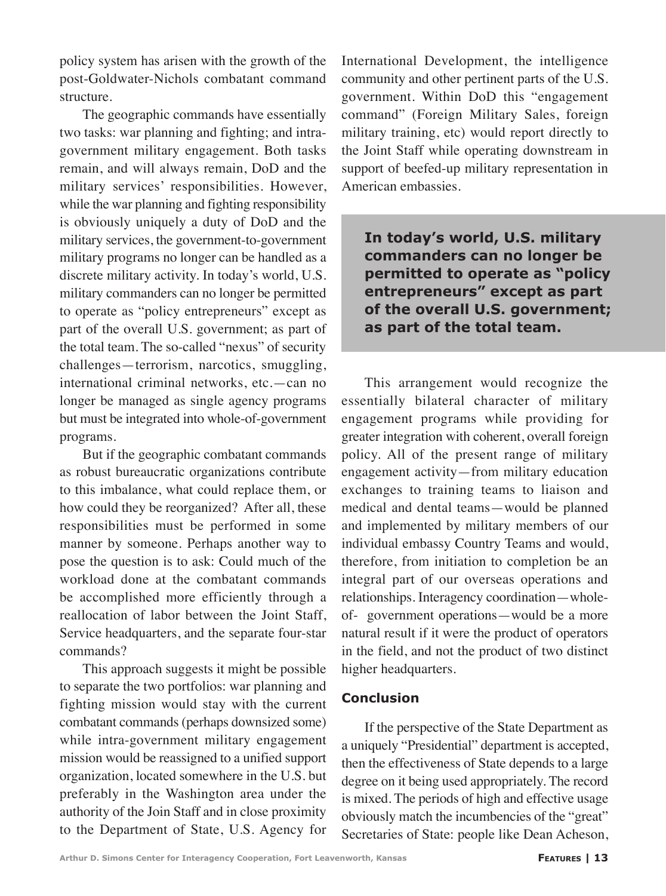policy system has arisen with the growth of the post-Goldwater-Nichols combatant command structure.

The geographic commands have essentially two tasks: war planning and fighting; and intragovernment military engagement. Both tasks remain, and will always remain, DoD and the military services' responsibilities. However, while the war planning and fighting responsibility is obviously uniquely a duty of DoD and the military services, the government-to-government military programs no longer can be handled as a discrete military activity. In today's world, U.S. military commanders can no longer be permitted to operate as "policy entrepreneurs" except as part of the overall U.S. government; as part of the total team. The so-called "nexus" of security challenges—terrorism, narcotics, smuggling, international criminal networks, etc.—can no longer be managed as single agency programs but must be integrated into whole-of-government programs.

But if the geographic combatant commands as robust bureaucratic organizations contribute to this imbalance, what could replace them, or how could they be reorganized? After all, these responsibilities must be performed in some manner by someone. Perhaps another way to pose the question is to ask: Could much of the workload done at the combatant commands be accomplished more efficiently through a reallocation of labor between the Joint Staff, Service headquarters, and the separate four-star commands?

This approach suggests it might be possible to separate the two portfolios: war planning and fighting mission would stay with the current combatant commands (perhaps downsized some) while intra-government military engagement mission would be reassigned to a unified support organization, located somewhere in the U.S. but preferably in the Washington area under the authority of the Join Staff and in close proximity to the Department of State, U.S. Agency for International Development, the intelligence community and other pertinent parts of the U.S. government. Within DoD this "engagement command" (Foreign Military Sales, foreign military training, etc) would report directly to the Joint Staff while operating downstream in support of beefed-up military representation in American embassies.

**In today's world, U.S. military commanders can no longer be permitted to operate as "policy entrepreneurs" except as part of the overall U.S. government; as part of the total team.**

This arrangement would recognize the essentially bilateral character of military engagement programs while providing for greater integration with coherent, overall foreign policy. All of the present range of military engagement activity—from military education exchanges to training teams to liaison and medical and dental teams—would be planned and implemented by military members of our individual embassy Country Teams and would, therefore, from initiation to completion be an integral part of our overseas operations and relationships. Interagency coordination—wholeof- government operations—would be a more natural result if it were the product of operators in the field, and not the product of two distinct higher headquarters.

#### **Conclusion**

If the perspective of the State Department as a uniquely "Presidential" department is accepted, then the effectiveness of State depends to a large degree on it being used appropriately. The record is mixed. The periods of high and effective usage obviously match the incumbencies of the "great" Secretaries of State: people like Dean Acheson,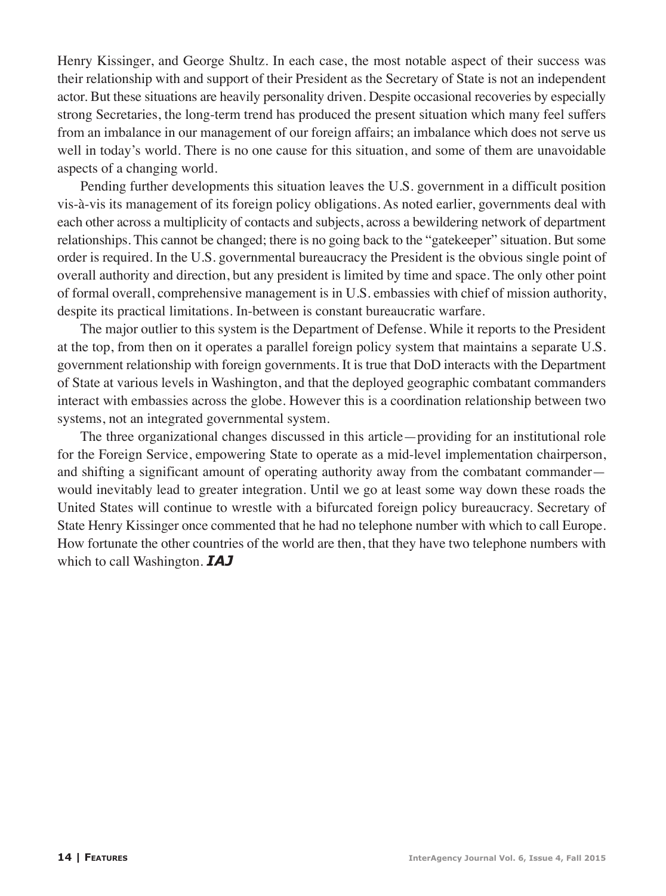Henry Kissinger, and George Shultz. In each case, the most notable aspect of their success was their relationship with and support of their President as the Secretary of State is not an independent actor. But these situations are heavily personality driven. Despite occasional recoveries by especially strong Secretaries, the long-term trend has produced the present situation which many feel suffers from an imbalance in our management of our foreign affairs; an imbalance which does not serve us well in today's world. There is no one cause for this situation, and some of them are unavoidable aspects of a changing world.

Pending further developments this situation leaves the U.S. government in a difficult position vis-à-vis its management of its foreign policy obligations. As noted earlier, governments deal with each other across a multiplicity of contacts and subjects, across a bewildering network of department relationships. This cannot be changed; there is no going back to the "gatekeeper" situation. But some order is required. In the U.S. governmental bureaucracy the President is the obvious single point of overall authority and direction, but any president is limited by time and space. The only other point of formal overall, comprehensive management is in U.S. embassies with chief of mission authority, despite its practical limitations. In-between is constant bureaucratic warfare.

The major outlier to this system is the Department of Defense. While it reports to the President at the top, from then on it operates a parallel foreign policy system that maintains a separate U.S. government relationship with foreign governments. It is true that DoD interacts with the Department of State at various levels in Washington, and that the deployed geographic combatant commanders interact with embassies across the globe. However this is a coordination relationship between two systems, not an integrated governmental system.

The three organizational changes discussed in this article—providing for an institutional role for the Foreign Service, empowering State to operate as a mid-level implementation chairperson, and shifting a significant amount of operating authority away from the combatant commander would inevitably lead to greater integration. Until we go at least some way down these roads the United States will continue to wrestle with a bifurcated foreign policy bureaucracy. Secretary of State Henry Kissinger once commented that he had no telephone number with which to call Europe. How fortunate the other countries of the world are then, that they have two telephone numbers with which to call Washington. *IAJ*